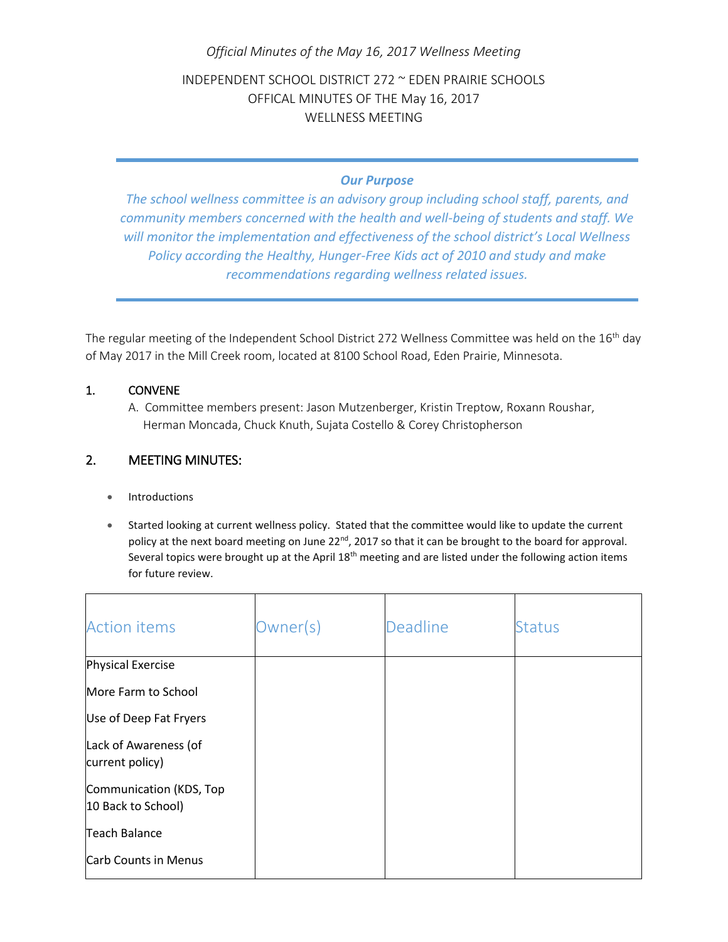## *Official Minutes of the May 16, 2017 Wellness Meeting*

INDEPENDENT SCHOOL DISTRICT 272 ~ EDEN PRAIRIE SCHOOLS OFFICAL MINUTES OF THE May 16, 2017 WELLNESS MEETING

## *Our Purpose*

*The school wellness committee is an advisory group including school staff, parents, and community members concerned with the health and well-being of students and staff. We will monitor the implementation and effectiveness of the school district's Local Wellness Policy according the Healthy, Hunger-Free Kids act of 2010 and study and make recommendations regarding wellness related issues.*

The regular meeting of the Independent School District 272 Wellness Committee was held on the 16<sup>th</sup> day of May 2017 in the Mill Creek room, located at 8100 School Road, Eden Prairie, Minnesota.

## 1. CONVENE

A. Committee members present: Jason Mutzenberger, Kristin Treptow, Roxann Roushar, Herman Moncada, Chuck Knuth, Sujata Costello & Corey Christopherson

## 2. MEETING MINUTES:

- Introductions
- Started looking at current wellness policy. Stated that the committee would like to update the current policy at the next board meeting on June 22<sup>nd</sup>, 2017 so that it can be brought to the board for approval. Several topics were brought up at the April 18<sup>th</sup> meeting and are listed under the following action items for future review.

| <b>Action items</b>                           | Owner(s) | <b>Deadline</b> | <b>Status</b> |
|-----------------------------------------------|----------|-----------------|---------------|
| <b>Physical Exercise</b>                      |          |                 |               |
| More Farm to School                           |          |                 |               |
| Use of Deep Fat Fryers                        |          |                 |               |
| Lack of Awareness (of<br>current policy)      |          |                 |               |
| Communication (KDS, Top<br>10 Back to School) |          |                 |               |
| <b>Teach Balance</b>                          |          |                 |               |
| <b>Carb Counts in Menus</b>                   |          |                 |               |